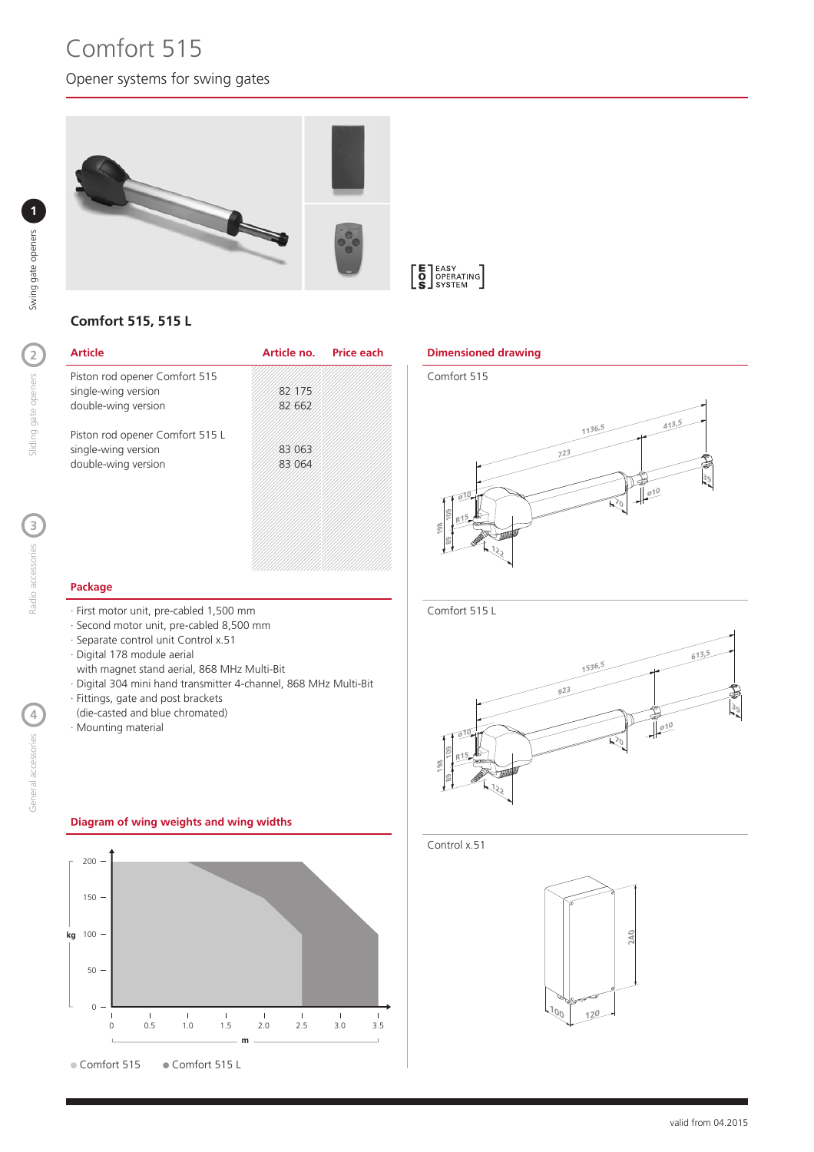# Opener systems for swing gates Comfort 515

Radio accessories ( Radio accessories



# **Comfort 515, 515 L**

| <b>Article</b>                  | Article no. Price each |  |
|---------------------------------|------------------------|--|
| Piston rod opener Comfort 515   |                        |  |
| single-wing version             | 82275                  |  |
| double-wing version             | 82 662                 |  |
| Piston rod opener Comfort 515 L |                        |  |
| single-wing version             | 83063                  |  |
| double-wing version             | 83 064                 |  |
|                                 |                        |  |
|                                 |                        |  |
|                                 |                        |  |
|                                 |                        |  |

#### **Dimensioned drawing**



#### **Package**

- · First motor unit, pre-cabled 1,500 mm
- · Second motor unit, pre-cabled 8,500 mm
- · Separate control unit Control x.51
- · Digital 178 module aerial
- with magnet stand aerial, 868 MHz Multi-Bit
- · Digital 304 mini hand transmitter 4-channel, 868 MHz Multi-Bit
- · Fittings, gate and post brackets
- (die-casted and blue chromated)
- · Mounting material

# **Diagram of wing weights and wing widths**







#### Control x.51

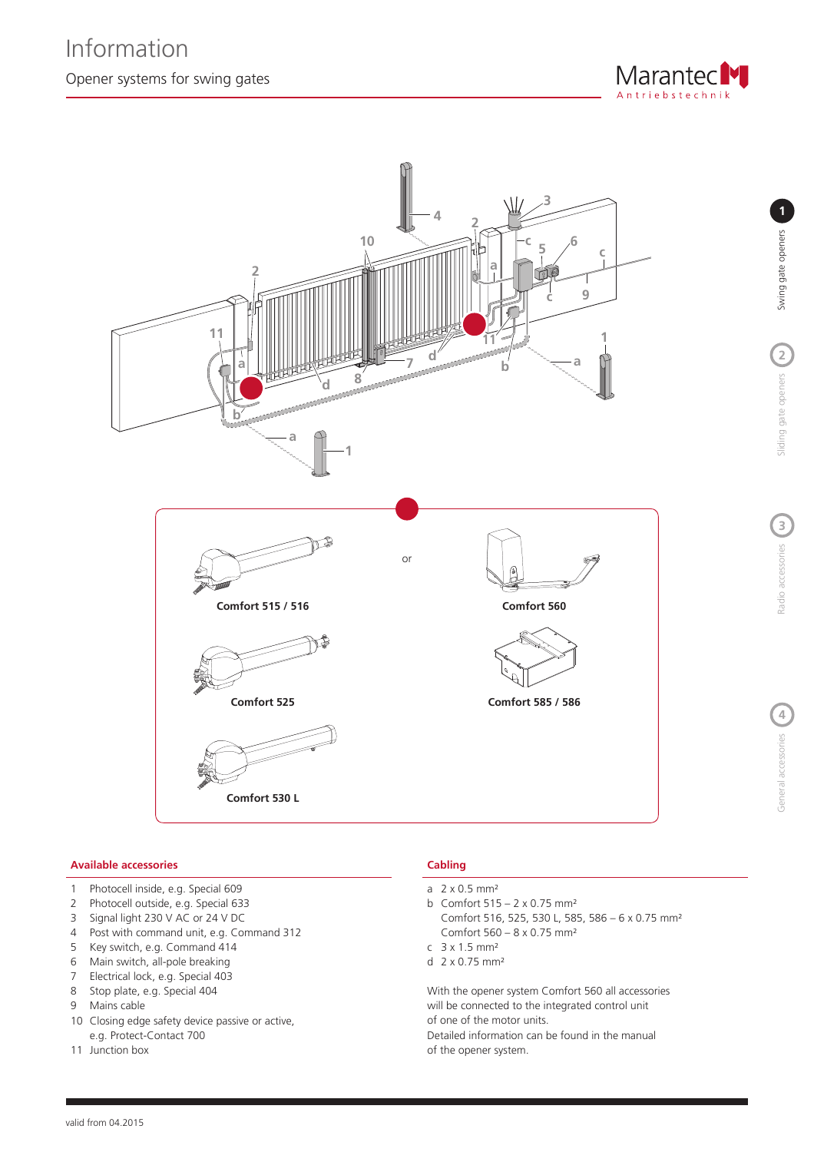



#### **Available accessories Cabling**

- 1 Photocell inside, e.g. Special 609
- 2 Photocell outside, e.g. Special 633
- 3 Signal light 230 V AC or 24 V DC
- 4 Post with command unit, e.g. Command 312
- 5 Key switch, e.g. Command 414
- 6 Main switch, all-pole breaking
- 7 Electrical lock, e.g. Special 403
- 8 Stop plate, e.g. Special 404
- 9 Mains cable
- 10 Closing edge safety device passive or active, e.g. Protect-Contact 700
- 11 Junction box

- a  $2 \times 0.5$  mm<sup>2</sup>
- b Comfort 515 2 x 0.75 mm²
- Comfort 516, 525, 530 L, 585, 586 6 x 0.75 mm² Comfort 560 – 8 x 0.75 mm²
- c 3 x 1.5 mm²
- d 2 x 0.75 mm²

With the opener system Comfort 560 all accessories will be connected to the integrated control unit of one of the motor units.

Detailed information can be found in the manual of the opener system.

**4**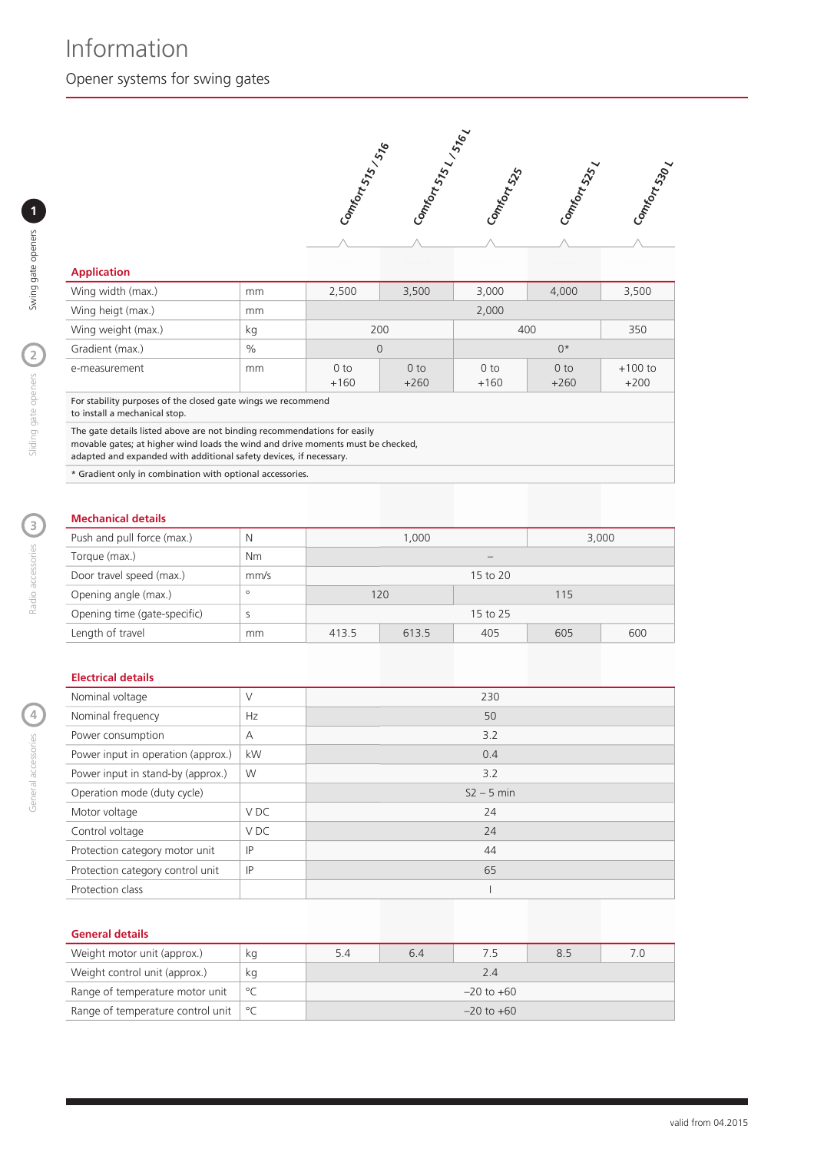

### **Application**

| Wing width (max.)                                                                                                                                                                                                                 | mm   | 2,500                     | 3,500                     | 3,000                     | 4.000                     | 3,500               |
|-----------------------------------------------------------------------------------------------------------------------------------------------------------------------------------------------------------------------------------|------|---------------------------|---------------------------|---------------------------|---------------------------|---------------------|
| Wing heigt (max.)                                                                                                                                                                                                                 | mm   | 2,000                     |                           |                           |                           |                     |
| Wing weight (max.)                                                                                                                                                                                                                | kg   | 200                       |                           | 400                       |                           | 350                 |
| Gradient (max.)                                                                                                                                                                                                                   | $\%$ | 0                         |                           | $0*$                      |                           |                     |
| e-measurement                                                                                                                                                                                                                     | mm   | 0 <sub>to</sub><br>$+160$ | 0 <sub>to</sub><br>$+260$ | 0 <sub>to</sub><br>$+160$ | 0 <sub>to</sub><br>$+260$ | $+100$ to<br>$+200$ |
| For stability purposes of the closed gate wings we recommend<br>to install a mechanical stop.                                                                                                                                     |      |                           |                           |                           |                           |                     |
| The gate details listed above are not binding recommendations for easily<br>movable gates; at higher wind loads the wind and drive moments must be checked,<br>adapted and expanded with additional safety devices, if necessary. |      |                           |                           |                           |                           |                     |

\* Gradient only in combination with optional accessories.

# **Mechanical details**

| Push and pull force (max.)   | N         | 1.000    |       |     | 3,000 |     |  |
|------------------------------|-----------|----------|-------|-----|-------|-----|--|
| Torque (max.)                | <b>Nm</b> |          |       |     |       |     |  |
| Door travel speed (max.)     | mm/s      | 15 to 20 |       |     |       |     |  |
| Opening angle (max.)         | $\circ$   | 120      |       |     | 115   |     |  |
| Opening time (gate-specific) |           | 15 to 25 |       |     |       |     |  |
| Length of travel             | mm        | 413.5    | 613.5 | 405 | 605   | 600 |  |

#### **Electrical details**

| Nominal voltage                    | V               | 230          |
|------------------------------------|-----------------|--------------|
| Nominal frequency                  | Hz              | 50           |
| Power consumption                  | A               | 3.2          |
| Power input in operation (approx.) | kW              | 0.4          |
| Power input in stand-by (approx.)  | W               | 3.2          |
| Operation mode (duty cycle)        |                 | $S2 - 5$ min |
| Motor voltage                      | V <sub>DC</sub> | 24           |
| Control voltage                    | V <sub>DC</sub> | 24           |
| Protection category motor unit     | IP              | 44           |
| Protection category control unit   | IP              | 65           |
| Protection class                   |                 |              |

#### **General details**

| Weight motor unit (approx.)                   | ka           | 5.4            | 6.4 | 7.5 | 8.5 | 70 |  |
|-----------------------------------------------|--------------|----------------|-----|-----|-----|----|--|
| Weight control unit (approx.)                 | ka           | 2.4            |     |     |     |    |  |
| Range of temperature motor unit               | $^{\circ}$ C | $-20$ to $+60$ |     |     |     |    |  |
| Range of temperature control unit $\degree$ C |              | $-20$ to $+60$ |     |     |     |    |  |